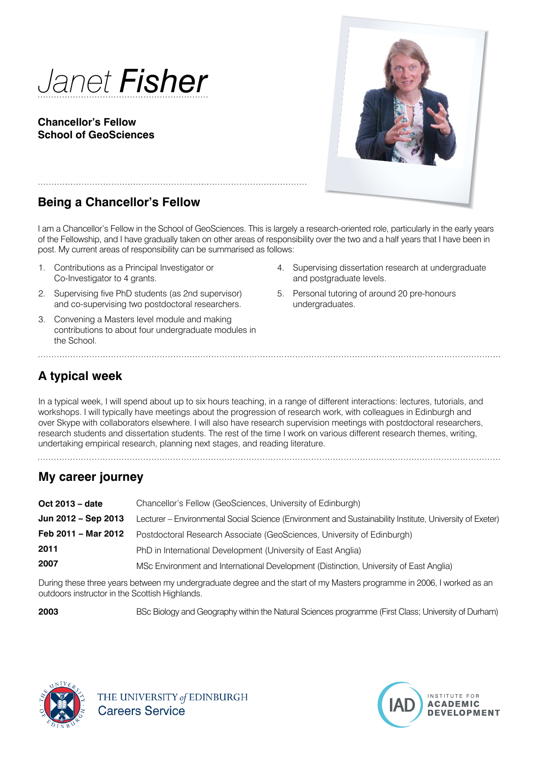

### **Chancellor's Fellow School of GeoSciences**



# **Being a Chancellor's Fellow**

I am a Chancellor's Fellow in the School of GeoSciences. This is largely a research-oriented role, particularly in the early years of the Fellowship, and I have gradually taken on other areas of responsibility over the two and a half years that I have been in post. My current areas of responsibility can be summarised as follows:

- 1. Contributions as a Principal Investigator or Co-Investigator to 4 grants.
- 2. Supervising five PhD students (as 2nd supervisor) and co-supervising two postdoctoral researchers.
- 3. Convening a Masters level module and making contributions to about four undergraduate modules in the School.

- 4. Supervising dissertation research at undergraduate and postgraduate levels.
- 5. Personal tutoring of around 20 pre-honours undergraduates.

# **A typical week**

In a typical week, I will spend about up to six hours teaching, in a range of different interactions: lectures, tutorials, and workshops. I will typically have meetings about the progression of research work, with colleagues in Edinburgh and over Skype with collaborators elsewhere. I will also have research supervision meetings with postdoctoral researchers, research students and dissertation students. The rest of the time I work on various different research themes, writing, undertaking empirical research, planning next stages, and reading literature.

# **My career journey**

| Oct 2013 – date     | Chancellor's Fellow (GeoSciences, University of Edinburgh)                                               |
|---------------------|----------------------------------------------------------------------------------------------------------|
| Jun 2012 - Sep 2013 | Lecturer – Environmental Social Science (Environment and Sustainability Institute, University of Exeter) |
| Feb 2011 – Mar 2012 | Postdoctoral Research Associate (GeoSciences, University of Edinburgh)                                   |
| 2011                | PhD in International Development (University of East Anglia)                                             |
| 2007                | MSc Environment and International Development (Distinction, University of East Anglia)                   |

During these three years between my undergraduate degree and the start of my Masters programme in 2006, I worked as an outdoors instructor in the Scottish Highlands.

**2003** BSc Biology and Geography within the Natural Sciences programme (First Class; University of Durham)



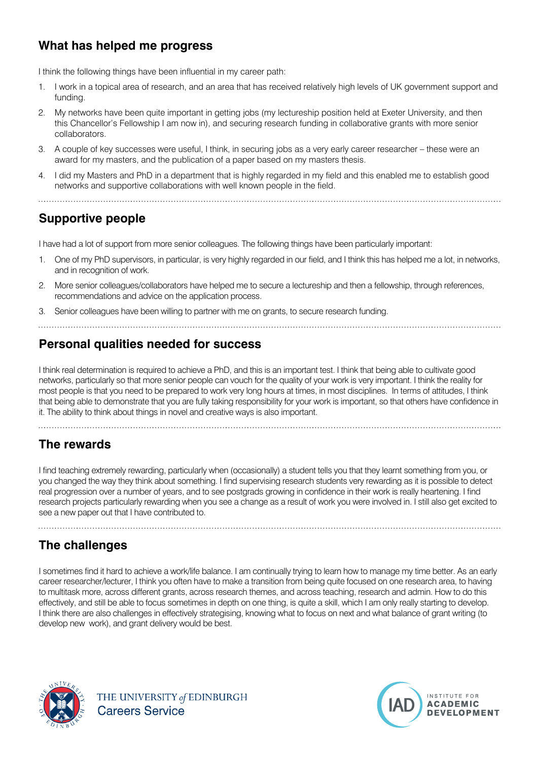# **What has helped me progress**

I think the following things have been influential in my career path:

- 1. I work in a topical area of research, and an area that has received relatively high levels of UK government support and funding.
- 2. My networks have been quite important in getting jobs (my lectureship position held at Exeter University, and then this Chancellor's Fellowship I am now in), and securing research funding in collaborative grants with more senior collaborators.
- 3. A couple of key successes were useful, I think, in securing jobs as a very early career researcher these were an award for my masters, and the publication of a paper based on my masters thesis.
- 4. I did my Masters and PhD in a department that is highly regarded in my field and this enabled me to establish good networks and supportive collaborations with well known people in the field.

# **Supportive people**

I have had a lot of support from more senior colleagues. The following things have been particularly important:

- 1. One of my PhD supervisors, in particular, is very highly regarded in our field, and I think this has helped me a lot, in networks, and in recognition of work.
- 2. More senior colleagues/collaborators have helped me to secure a lectureship and then a fellowship, through references, recommendations and advice on the application process.
- 3. Senior colleagues have been willing to partner with me on grants, to secure research funding.

### **Personal qualities needed for success**

I think real determination is required to achieve a PhD, and this is an important test. I think that being able to cultivate good networks, particularly so that more senior people can vouch for the quality of your work is very important. I think the reality for most people is that you need to be prepared to work very long hours at times, in most disciplines. In terms of attitudes, I think that being able to demonstrate that you are fully taking responsibility for your work is important, so that others have confidence in it. The ability to think about things in novel and creative ways is also important.

## **The rewards**

I find teaching extremely rewarding, particularly when (occasionally) a student tells you that they learnt something from you, or you changed the way they think about something. I find supervising research students very rewarding as it is possible to detect real progression over a number of years, and to see postgrads growing in confidence in their work is really heartening. I find research projects particularly rewarding when you see a change as a result of work you were involved in. I still also get excited to see a new paper out that I have contributed to.

# **The challenges**

I sometimes find it hard to achieve a work/life balance. I am continually trying to learn how to manage my time better. As an early career researcher/lecturer, I think you often have to make a transition from being quite focused on one research area, to having to multitask more, across different grants, across research themes, and across teaching, research and admin. How to do this effectively, and still be able to focus sometimes in depth on one thing, is quite a skill, which I am only really starting to develop. I think there are also challenges in effectively strategising, knowing what to focus on next and what balance of grant writing (to develop new work), and grant delivery would be best.